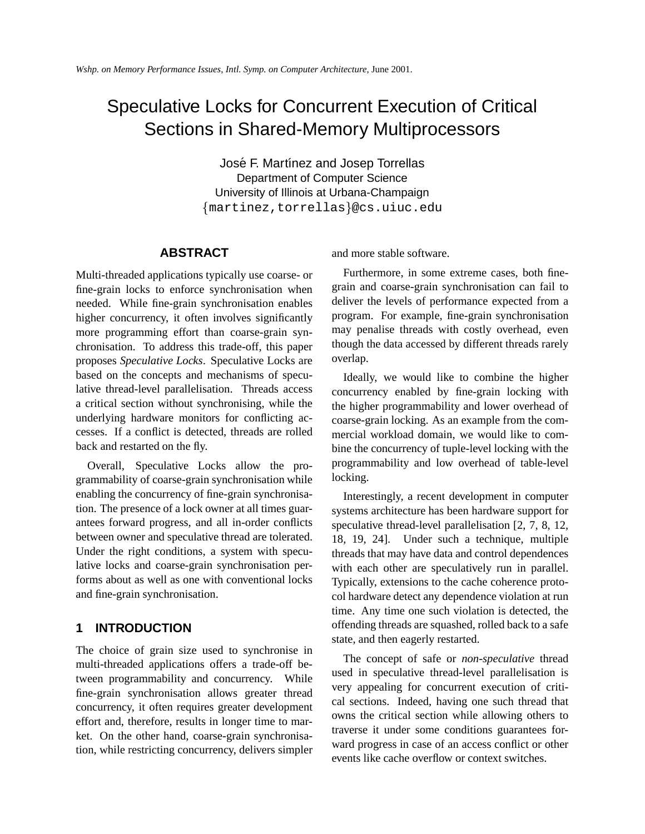# Speculative Locks for Concurrent Execution of Critical Sections in Shared-Memory Multiprocessors

José F. Martínez and Josep Torrellas Department of Computer Science University of Illinois at Urbana-Champaign martinez,torrellas @cs.uiuc.edu

# **ABSTRACT**

Multi-threaded applications typically use coarse- or fine-grain locks to enforce synchronisation when needed. While fine-grain synchronisation enables higher concurrency, it often involves significantly more programming effort than coarse-grain synchronisation. To address this trade-off, this paper proposes *Speculative Locks*. Speculative Locks are based on the concepts and mechanisms of speculative thread-level parallelisation. Threads access a critical section without synchronising, while the underlying hardware monitors for conflicting accesses. If a conflict is detected, threads are rolled back and restarted on the fly.

Overall, Speculative Locks allow the programmability of coarse-grain synchronisation while enabling the concurrency of fine-grain synchronisation. The presence of a lock owner at all times guarantees forward progress, and all in-order conflicts between owner and speculative thread are tolerated. Under the right conditions, a system with speculative locks and coarse-grain synchronisation performs about as well as one with conventional locks and fine-grain synchronisation.

# **1 INTRODUCTION**

The choice of grain size used to synchronise in multi-threaded applications offers a trade-off between programmability and concurrency. While fine-grain synchronisation allows greater thread concurrency, it often requires greater development effort and, therefore, results in longer time to market. On the other hand, coarse-grain synchronisation, while restricting concurrency, delivers simpler and more stable software.

Furthermore, in some extreme cases, both finegrain and coarse-grain synchronisation can fail to deliver the levels of performance expected from a program. For example, fine-grain synchronisation may penalise threads with costly overhead, even though the data accessed by different threads rarely overlap.

Ideally, we would like to combine the higher concurrency enabled by fine-grain locking with the higher programmability and lower overhead of coarse-grain locking. As an example from the commercial workload domain, we would like to combine the concurrency of tuple-level locking with the programmability and low overhead of table-level locking.

Interestingly, a recent development in computer systems architecture has been hardware support for speculative thread-level parallelisation [2, 7, 8, 12, 18, 19, 24]. Under such a technique, multiple threads that may have data and control dependences with each other are speculatively run in parallel. Typically, extensions to the cache coherence protocol hardware detect any dependence violation at run time. Any time one such violation is detected, the offending threads are squashed, rolled back to a safe state, and then eagerly restarted.

The concept of safe or *non-speculative* thread used in speculative thread-level parallelisation is very appealing for concurrent execution of critical sections. Indeed, having one such thread that owns the critical section while allowing others to traverse it under some conditions guarantees forward progress in case of an access conflict or other events like cache overflow or context switches.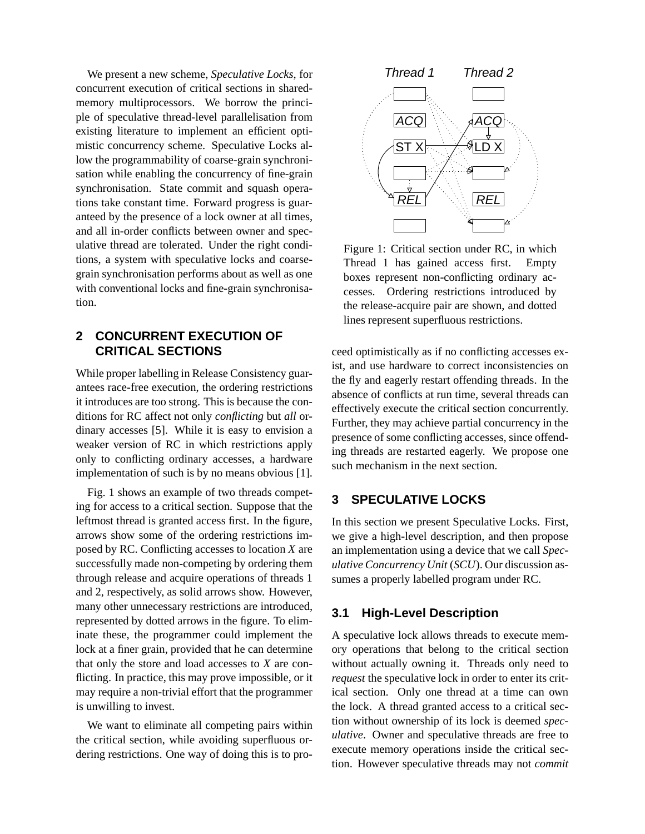We present a new scheme, *Speculative Locks*, for concurrent execution of critical sections in sharedmemory multiprocessors. We borrow the principle of speculative thread-level parallelisation from existing literature to implement an efficient optimistic concurrency scheme. Speculative Locks allow the programmability of coarse-grain synchronisation while enabling the concurrency of fine-grain synchronisation. State commit and squash operations take constant time. Forward progress is guaranteed by the presence of a lock owner at all times, and all in-order conflicts between owner and speculative thread are tolerated. Under the right conditions, a system with speculative locks and coarsegrain synchronisation performs about as well as one with conventional locks and fine-grain synchronisation.

# **2 CONCURRENT EXECUTION OF CRITICAL SECTIONS**

While proper labelling in Release Consistency guarantees race-free execution, the ordering restrictions it introduces are too strong. This is because the conditions for RC affect not only *conflicting* but *all* ordinary accesses [5]. While it is easy to envision a weaker version of RC in which restrictions apply only to conflicting ordinary accesses, a hardware implementation of such is by no means obvious [1].

Fig. 1 shows an example of two threads competing for access to a critical section. Suppose that the leftmost thread is granted access first. In the figure, arrows show some of the ordering restrictions imposed by RC. Conflicting accesses to location *X* are successfully made non-competing by ordering them through release and acquire operations of threads 1 and 2, respectively, as solid arrows show. However, many other unnecessary restrictions are introduced, represented by dotted arrows in the figure. To eliminate these, the programmer could implement the lock at a finer grain, provided that he can determine that only the store and load accesses to *X* are conflicting. In practice, this may prove impossible, or it may require a non-trivial effort that the programmer is unwilling to invest.

We want to eliminate all competing pairs within the critical section, while avoiding superfluous ordering restrictions. One way of doing this is to pro-



Figure 1: Critical section under RC, in which Thread 1 has gained access first. Empty boxes represent non-conflicting ordinary accesses. Ordering restrictions introduced by the release-acquire pair are shown, and dotted lines represent superfluous restrictions.

ceed optimistically as if no conflicting accesses exist, and use hardware to correct inconsistencies on the fly and eagerly restart offending threads. In the absence of conflicts at run time, several threads can effectively execute the critical section concurrently. Further, they may achieve partial concurrency in the presence of some conflicting accesses, since offending threads are restarted eagerly. We propose one such mechanism in the next section.

# **3 SPECULATIVE LOCKS**

In this section we present Speculative Locks. First, we give a high-level description, and then propose an implementation using a device that we call *Speculative Concurrency Unit* (*SCU*). Our discussion assumes a properly labelled program under RC.

## **3.1 High-Level Description**

A speculative lock allows threads to execute memory operations that belong to the critical section without actually owning it. Threads only need to *request* the speculative lock in order to enter its critical section. Only one thread at a time can own the lock. A thread granted access to a critical section without ownership of its lock is deemed *speculative*. Owner and speculative threads are free to execute memory operations inside the critical section. However speculative threads may not *commit*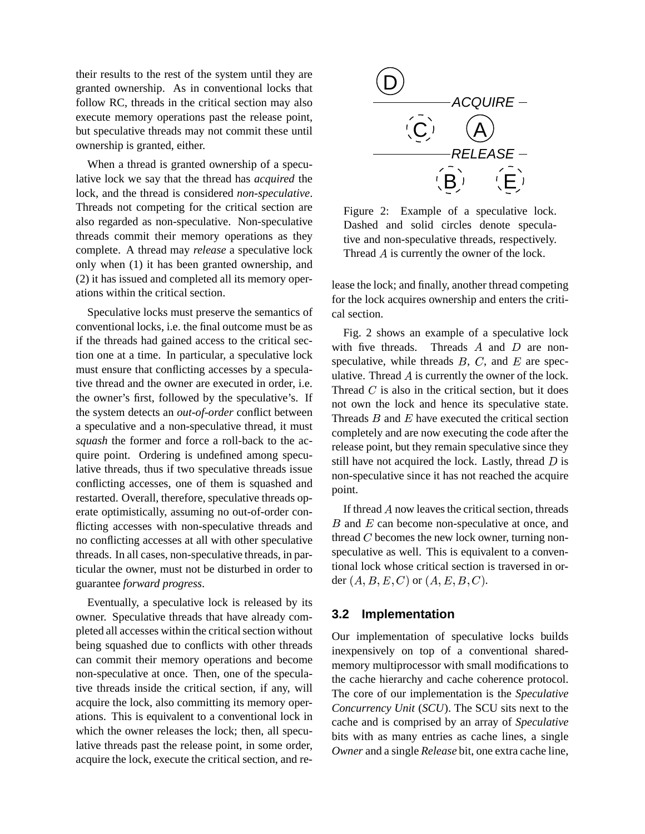their results to the rest of the system until they are granted ownership. As in conventional locks that follow RC, threads in the critical section may also execute memory operations past the release point, but speculative threads may not commit these until ownership is granted, either.

When a thread is granted ownership of a speculative lock we say that the thread has *acquired* the lock, and the thread is considered *non-speculative*. Threads not competing for the critical section are also regarded as non-speculative. Non-speculative threads commit their memory operations as they complete. A thread may *release* a speculative lock only when (1) it has been granted ownership, and (2) it has issued and completed all its memory operations within the critical section.

Speculative locks must preserve the semantics of conventional locks, i.e. the final outcome must be as if the threads had gained access to the critical section one at a time. In particular, a speculative lock must ensure that conflicting accesses by a speculative thread and the owner are executed in order, i.e. the owner's first, followed by the speculative's. If the system detects an *out-of-order* conflict between a speculative and a non-speculative thread, it must *squash* the former and force a roll-back to the acquire point. Ordering is undefined among speculative threads, thus if two speculative threads issue conflicting accesses, one of them is squashed and restarted. Overall, therefore, speculative threads operate optimistically, assuming no out-of-order conflicting accesses with non-speculative threads and no conflicting accesses at all with other speculative threads. In all cases, non-speculative threads, in particular the owner, must not be disturbed in order to guarantee *forward progress*.

Eventually, a speculative lock is released by its owner. Speculative threads that have already completed all accesses within the critical section without being squashed due to conflicts with other threads can commit their memory operations and become non-speculative at once. Then, one of the speculative threads inside the critical section, if any, will acquire the lock, also committing its memory operations. This is equivalent to a conventional lock in which the owner releases the lock; then, all speculative threads past the release point, in some order, acquire the lock, execute the critical section, and re-



Figure 2: Example of a speculative lock. Dashed and solid circles denote speculative and non-speculative threads, respectively. Thread  $A$  is currently the owner of the lock.

lease the lock; and finally, another thread competing for the lock acquires ownership and enters the critical section.

Fig. 2 shows an example of a speculative lock with five threads. Threads  $A$  and  $D$  are nonspeculative, while threads  $B, C$ , and  $E$  are speculative. Thread  $A$  is currently the owner of the lock. Thread  $C$  is also in the critical section, but it does not own the lock and hence its speculative state. Threads  $B$  and  $E$  have executed the critical section completely and are now executing the code after the release point, but they remain speculative since they still have not acquired the lock. Lastly, thread  $D$  is non-speculative since it has not reached the acquire point.

If thread  $A$  now leaves the critical section, threads  $B$  and  $E$  can become non-speculative at once, and thread  $C$  becomes the new lock owner, turning nonspeculative as well. This is equivalent to a conventional lock whose critical section is traversed in order  $(A, B, E, C)$  or  $(A, E, B, C)$ .

#### **3.2 Implementation**

Our implementation of speculative locks builds inexpensively on top of a conventional sharedmemory multiprocessor with small modifications to the cache hierarchy and cache coherence protocol. The core of our implementation is the *Speculative Concurrency Unit* (*SCU*). The SCU sits next to the cache and is comprised by an array of *Speculative* bits with as many entries as cache lines, a single *Owner* and a single *Release* bit, one extra cache line,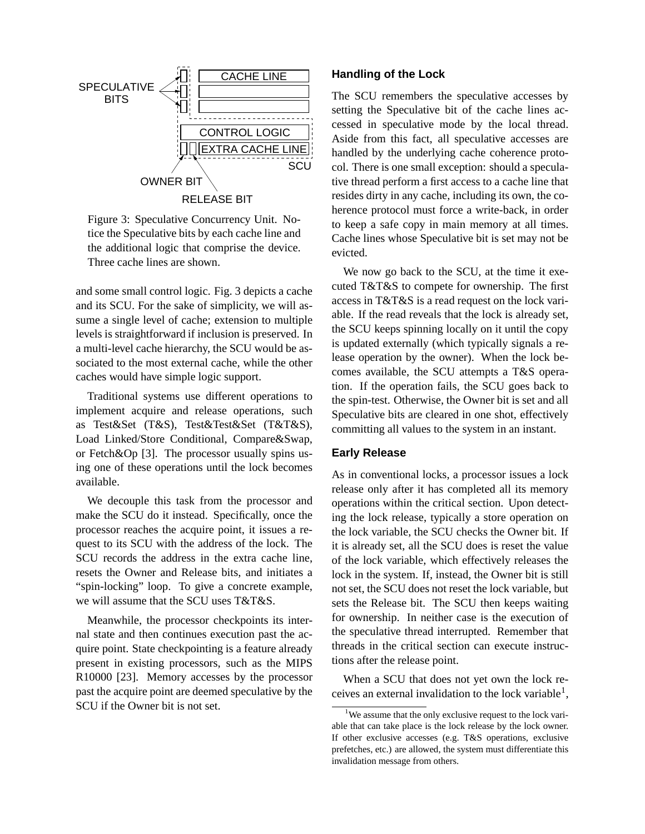

Figure 3: Speculative Concurrency Unit. Notice the Speculative bits by each cache line and the additional logic that comprise the device. Three cache lines are shown.

and some small control logic. Fig. 3 depicts a cache and its SCU. For the sake of simplicity, we will assume a single level of cache; extension to multiple levels is straightforward if inclusion is preserved. In a multi-level cache hierarchy, the SCU would be associated to the most external cache, while the other caches would have simple logic support.

Traditional systems use different operations to implement acquire and release operations, such as Test&Set (T&S), Test&Test&Set (T&T&S), Load Linked/Store Conditional, Compare&Swap, or Fetch&Op [3]. The processor usually spins using one of these operations until the lock becomes available.

We decouple this task from the processor and make the SCU do it instead. Specifically, once the processor reaches the acquire point, it issues a request to its SCU with the address of the lock. The SCU records the address in the extra cache line, resets the Owner and Release bits, and initiates a "spin-locking" loop. To give a concrete example, we will assume that the SCU uses T&T&S.

Meanwhile, the processor checkpoints its internal state and then continues execution past the acquire point. State checkpointing is a feature already present in existing processors, such as the MIPS R10000 [23]. Memory accesses by the processor past the acquire point are deemed speculative by the SCU if the Owner bit is not set.

#### **Handling of the Lock**

The SCU remembers the speculative accesses by setting the Speculative bit of the cache lines accessed in speculative mode by the local thread. Aside from this fact, all speculative accesses are handled by the underlying cache coherence protocol. There is one small exception: should a speculative thread perform a first access to a cache line that resides dirty in any cache, including its own, the coherence protocol must force a write-back, in order to keep a safe copy in main memory at all times. Cache lines whose Speculative bit is set may not be evicted.

We now go back to the SCU, at the time it executed T&T&S to compete for ownership. The first access in T&T&S is a read request on the lock variable. If the read reveals that the lock is already set, the SCU keeps spinning locally on it until the copy is updated externally (which typically signals a release operation by the owner). When the lock becomes available, the SCU attempts a T&S operation. If the operation fails, the SCU goes back to the spin-test. Otherwise, the Owner bit is set and all Speculative bits are cleared in one shot, effectively committing all values to the system in an instant.

#### **Early Release**

As in conventional locks, a processor issues a lock release only after it has completed all its memory operations within the critical section. Upon detecting the lock release, typically a store operation on the lock variable, the SCU checks the Owner bit. If it is already set, all the SCU does is reset the value of the lock variable, which effectively releases the lock in the system. If, instead, the Owner bit is still not set, the SCU does not reset the lock variable, but sets the Release bit. The SCU then keeps waiting for ownership. In neither case is the execution of the speculative thread interrupted. Remember that threads in the critical section can execute instructions after the release point.

When a SCU that does not yet own the lock receives an external invalidation to the lock variable<sup>1</sup>,

<sup>&</sup>lt;sup>1</sup>We assume that the only exclusive request to the lock variable that can take place is the lock release by the lock owner. If other exclusive accesses (e.g. T&S operations, exclusive prefetches, etc.) are allowed, the system must differentiate this invalidation message from others.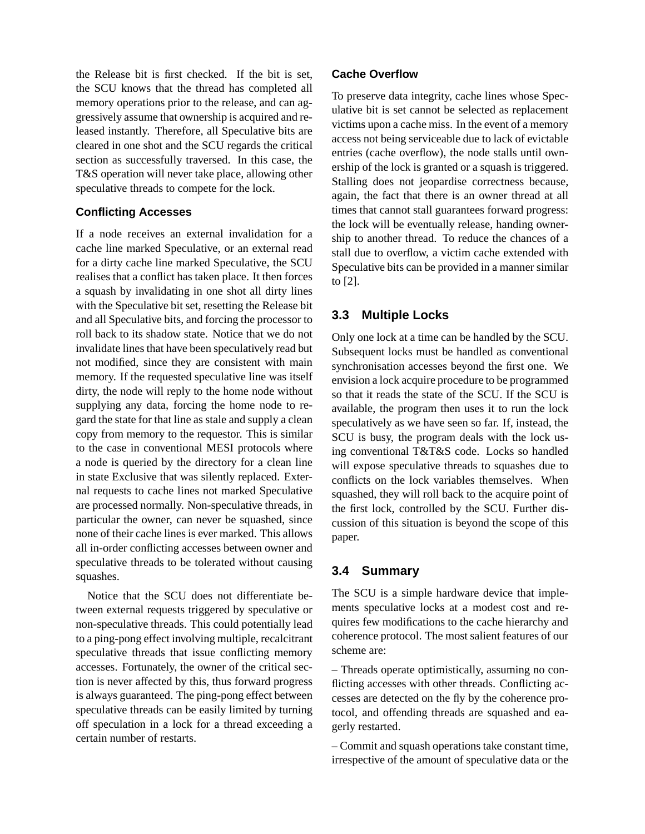the Release bit is first checked. If the bit is set, the SCU knows that the thread has completed all memory operations prior to the release, and can aggressively assume that ownership is acquired and released instantly. Therefore, all Speculative bits are cleared in one shot and the SCU regards the critical section as successfully traversed. In this case, the T&S operation will never take place, allowing other speculative threads to compete for the lock.

#### **Conflicting Accesses**

If a node receives an external invalidation for a cache line marked Speculative, or an external read for a dirty cache line marked Speculative, the SCU realises that a conflict has taken place. It then forces a squash by invalidating in one shot all dirty lines with the Speculative bit set, resetting the Release bit and all Speculative bits, and forcing the processor to roll back to its shadow state. Notice that we do not invalidate lines that have been speculatively read but not modified, since they are consistent with main memory. If the requested speculative line was itself dirty, the node will reply to the home node without supplying any data, forcing the home node to regard the state for that line as stale and supply a clean copy from memory to the requestor. This is similar to the case in conventional MESI protocols where a node is queried by the directory for a clean line in state Exclusive that was silently replaced. External requests to cache lines not marked Speculative are processed normally. Non-speculative threads, in particular the owner, can never be squashed, since none of their cache lines is ever marked. This allows all in-order conflicting accesses between owner and speculative threads to be tolerated without causing squashes.

Notice that the SCU does not differentiate between external requests triggered by speculative or non-speculative threads. This could potentially lead to a ping-pong effect involving multiple, recalcitrant speculative threads that issue conflicting memory accesses. Fortunately, the owner of the critical section is never affected by this, thus forward progress is always guaranteed. The ping-pong effect between speculative threads can be easily limited by turning off speculation in a lock for a thread exceeding a certain number of restarts.

#### **Cache Overflow**

To preserve data integrity, cache lines whose Speculative bit is set cannot be selected as replacement victims upon a cache miss. In the event of a memory access not being serviceable due to lack of evictable entries (cache overflow), the node stalls until ownership of the lock is granted or a squash is triggered. Stalling does not jeopardise correctness because, again, the fact that there is an owner thread at all times that cannot stall guarantees forward progress: the lock will be eventually release, handing ownership to another thread. To reduce the chances of a stall due to overflow, a victim cache extended with Speculative bits can be provided in a manner similar to [2].

## **3.3 Multiple Locks**

Only one lock at a time can be handled by the SCU. Subsequent locks must be handled as conventional synchronisation accesses beyond the first one. We envision a lock acquire procedure to be programmed so that it reads the state of the SCU. If the SCU is available, the program then uses it to run the lock speculatively as we have seen so far. If, instead, the SCU is busy, the program deals with the lock using conventional T&T&S code. Locks so handled will expose speculative threads to squashes due to conflicts on the lock variables themselves. When squashed, they will roll back to the acquire point of the first lock, controlled by the SCU. Further discussion of this situation is beyond the scope of this paper.

#### **3.4 Summary**

The SCU is a simple hardware device that implements speculative locks at a modest cost and requires few modifications to the cache hierarchy and coherence protocol. The most salient features of our scheme are:

– Threads operate optimistically, assuming no conflicting accesses with other threads. Conflicting accesses are detected on the fly by the coherence protocol, and offending threads are squashed and eagerly restarted.

– Commit and squash operations take constant time, irrespective of the amount of speculative data or the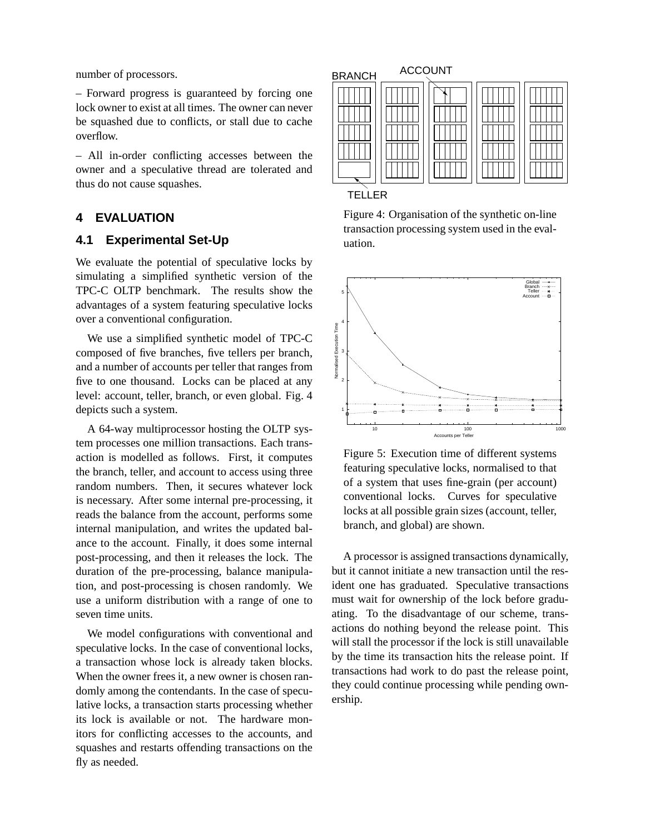number of processors.

– Forward progress is guaranteed by forcing one lock owner to exist at all times. The owner can never be squashed due to conflicts, or stall due to cache overflow.

– All in-order conflicting accesses between the owner and a speculative thread are tolerated and thus do not cause squashes.

# **4 EVALUATION**

## **4.1 Experimental Set-Up**

We evaluate the potential of speculative locks by simulating a simplified synthetic version of the TPC-C OLTP benchmark. The results show the advantages of a system featuring speculative locks over a conventional configuration.

We use a simplified synthetic model of TPC-C composed of five branches, five tellers per branch, and a number of accounts per teller that ranges from five to one thousand. Locks can be placed at any level: account, teller, branch, or even global. Fig. 4 depicts such a system.

A 64-way multiprocessor hosting the OLTP system processes one million transactions. Each transaction is modelled as follows. First, it computes the branch, teller, and account to access using three random numbers. Then, it secures whatever lock is necessary. After some internal pre-processing, it reads the balance from the account, performs some internal manipulation, and writes the updated balance to the account. Finally, it does some internal post-processing, and then it releases the lock. The duration of the pre-processing, balance manipulation, and post-processing is chosen randomly. We use a uniform distribution with a range of one to seven time units.

We model configurations with conventional and speculative locks. In the case of conventional locks, a transaction whose lock is already taken blocks. When the owner frees it, a new owner is chosen randomly among the contendants. In the case of speculative locks, a transaction starts processing whether its lock is available or not. The hardware monitors for conflicting accesses to the accounts, and squashes and restarts offending transactions on the fly as needed.



Figure 4: Organisation of the synthetic on-line transaction processing system used in the evaluation.



Figure 5: Execution time of different systems featuring speculative locks, normalised to that of a system that uses fine-grain (per account) conventional locks. Curves for speculative locks at all possible grain sizes (account, teller, branch, and global) are shown.

A processor is assigned transactions dynamically, but it cannot initiate a new transaction until the resident one has graduated. Speculative transactions must wait for ownership of the lock before graduating. To the disadvantage of our scheme, transactions do nothing beyond the release point. This will stall the processor if the lock is still unavailable by the time its transaction hits the release point. If transactions had work to do past the release point, they could continue processing while pending ownership.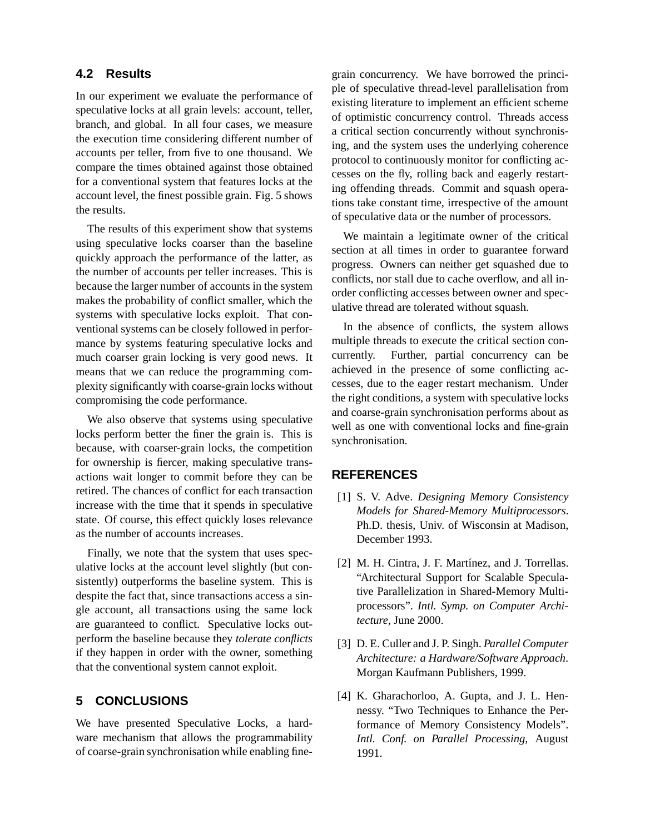## **4.2 Results**

In our experiment we evaluate the performance of speculative locks at all grain levels: account, teller, branch, and global. In all four cases, we measure the execution time considering different number of accounts per teller, from five to one thousand. We compare the times obtained against those obtained for a conventional system that features locks at the account level, the finest possible grain. Fig. 5 shows the results.

The results of this experiment show that systems using speculative locks coarser than the baseline quickly approach the performance of the latter, as the number of accounts per teller increases. This is because the larger number of accounts in the system makes the probability of conflict smaller, which the systems with speculative locks exploit. That conventional systems can be closely followed in performance by systems featuring speculative locks and much coarser grain locking is very good news. It means that we can reduce the programming complexity significantly with coarse-grain locks without compromising the code performance.

We also observe that systems using speculative locks perform better the finer the grain is. This is because, with coarser-grain locks, the competition for ownership is fiercer, making speculative transactions wait longer to commit before they can be retired. The chances of conflict for each transaction increase with the time that it spends in speculative state. Of course, this effect quickly loses relevance as the number of accounts increases.

Finally, we note that the system that uses speculative locks at the account level slightly (but consistently) outperforms the baseline system. This is despite the fact that, since transactions access a single account, all transactions using the same lock are guaranteed to conflict. Speculative locks outperform the baseline because they *tolerate conflicts* if they happen in order with the owner, something that the conventional system cannot exploit.

# **5 CONCLUSIONS**

We have presented Speculative Locks, a hardware mechanism that allows the programmability of coarse-grain synchronisation while enabling finegrain concurrency. We have borrowed the principle of speculative thread-level parallelisation from existing literature to implement an efficient scheme of optimistic concurrency control. Threads access a critical section concurrently without synchronising, and the system uses the underlying coherence protocol to continuously monitor for conflicting accesses on the fly, rolling back and eagerly restarting offending threads. Commit and squash operations take constant time, irrespective of the amount of speculative data or the number of processors.

We maintain a legitimate owner of the critical section at all times in order to guarantee forward progress. Owners can neither get squashed due to conflicts, nor stall due to cache overflow, and all inorder conflicting accesses between owner and speculative thread are tolerated without squash.

In the absence of conflicts, the system allows multiple threads to execute the critical section concurrently. Further, partial concurrency can be achieved in the presence of some conflicting accesses, due to the eager restart mechanism. Under the right conditions, a system with speculative locks and coarse-grain synchronisation performs about as well as one with conventional locks and fine-grain synchronisation.

#### **REFERENCES**

- [1] S. V. Adve. *Designing Memory Consistency Models for Shared-Memory Multiprocessors*. Ph.D. thesis, Univ. of Wisconsin at Madison, December 1993.
- [2] M. H. Cintra, J. F. Martínez, and J. Torrellas. "Architectural Support for Scalable Speculative Parallelization in Shared-Memory Multiprocessors". *Intl. Symp. on Computer Architecture*, June 2000.
- [3] D. E. Culler and J. P. Singh. *Parallel Computer Architecture: a Hardware/Software Approach*. Morgan Kaufmann Publishers, 1999.
- [4] K. Gharachorloo, A. Gupta, and J. L. Hennessy. "Two Techniques to Enhance the Performance of Memory Consistency Models". *Intl. Conf. on Parallel Processing*, August 1991.